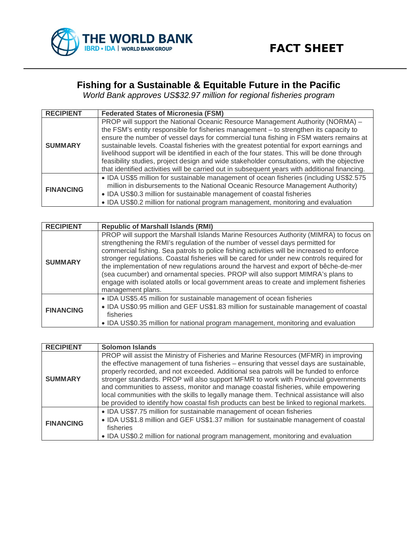

## **Fishing for a Sustainable & Equitable Future in the Pacific**

*World Bank approves US\$32.97 million for regional fisheries program*

| <b>RECIPIENT</b> | <b>Federated States of Micronesia (FSM)</b>                                                                                                                                                                                                                                                                                                                                                                                                                                                                                                                                                                                                                 |
|------------------|-------------------------------------------------------------------------------------------------------------------------------------------------------------------------------------------------------------------------------------------------------------------------------------------------------------------------------------------------------------------------------------------------------------------------------------------------------------------------------------------------------------------------------------------------------------------------------------------------------------------------------------------------------------|
| <b>SUMMARY</b>   | PROP will support the National Oceanic Resource Management Authority (NORMA) -<br>the FSM's entity responsible for fisheries management - to strengthen its capacity to<br>ensure the number of vessel days for commercial tuna fishing in FSM waters remains at<br>sustainable levels. Coastal fisheries with the greatest potential for export earnings and<br>livelihood support will be identified in each of the four states. This will be done through<br>feasibility studies, project design and wide stakeholder consultations, with the objective<br>that identified activities will be carried out in subsequent years with additional financing. |
| <b>FINANCING</b> | • IDA US\$5 million for sustainable management of ocean fisheries (including US\$2.575<br>million in disbursements to the National Oceanic Resource Management Authority)<br>• IDA US\$0.3 million for sustainable management of coastal fisheries<br>• IDA US\$0.2 million for national program management, monitoring and evaluation                                                                                                                                                                                                                                                                                                                      |

| <b>RECIPIENT</b> | <b>Republic of Marshall Islands (RMI)</b>                                                                                                                                                                                                                                                                                                                                                                                                                                                                                                                                                                                                                 |
|------------------|-----------------------------------------------------------------------------------------------------------------------------------------------------------------------------------------------------------------------------------------------------------------------------------------------------------------------------------------------------------------------------------------------------------------------------------------------------------------------------------------------------------------------------------------------------------------------------------------------------------------------------------------------------------|
| <b>SUMMARY</b>   | PROP will support the Marshall Islands Marine Resources Authority (MIMRA) to focus on<br>strengthening the RMI's regulation of the number of vessel days permitted for<br>commercial fishing. Sea patrols to police fishing activities will be increased to enforce<br>stronger regulations. Coastal fisheries will be cared for under new controls required for<br>the implementation of new regulations around the harvest and export of bêche-de-mer<br>(sea cucumber) and ornamental species. PROP will also support MIMRA's plans to<br>engage with isolated atolls or local government areas to create and implement fisheries<br>management plans. |
| <b>FINANCING</b> | • IDA US\$5.45 million for sustainable management of ocean fisheries<br>• IDA US\$0.95 million and GEF US\$1.83 million for sustainable management of coastal<br>fisheries<br>• IDA US\$0.35 million for national program management, monitoring and evaluation                                                                                                                                                                                                                                                                                                                                                                                           |

| <b>RECIPIENT</b> | <b>Solomon Islands</b>                                                                                                                                                                                                                                                                                                                                                                                                                                                                                                                                                                                                                       |
|------------------|----------------------------------------------------------------------------------------------------------------------------------------------------------------------------------------------------------------------------------------------------------------------------------------------------------------------------------------------------------------------------------------------------------------------------------------------------------------------------------------------------------------------------------------------------------------------------------------------------------------------------------------------|
| <b>SUMMARY</b>   | PROP will assist the Ministry of Fisheries and Marine Resources (MFMR) in improving<br>the effective management of tuna fisheries - ensuring that vessel days are sustainable,<br>properly recorded, and not exceeded. Additional sea patrols will be funded to enforce<br>stronger standards. PROP will also support MFMR to work with Provincial governments<br>and communities to assess, monitor and manage coastal fisheries, while empowering<br>local communities with the skills to legally manage them. Technical assistance will also<br>be provided to identify how coastal fish products can best be linked to regional markets. |
| <b>FINANCING</b> | • IDA US\$7.75 million for sustainable management of ocean fisheries<br>• IDA US\$1.8 million and GEF US\$1.37 million for sustainable management of coastal<br>fisheries<br>• IDA US\$0.2 million for national program management, monitoring and evaluation                                                                                                                                                                                                                                                                                                                                                                                |